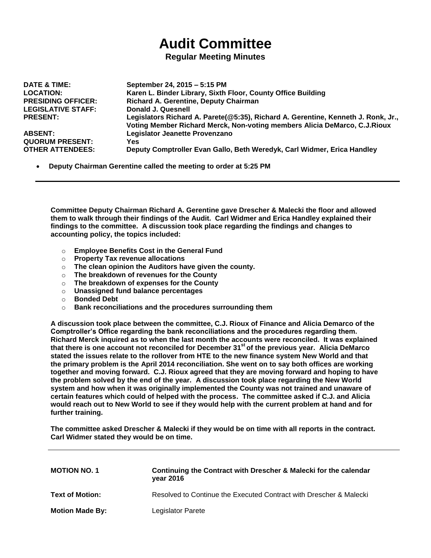## **Audit Committee**

## **Regular Meeting Minutes**

| <b>DATE &amp; TIME:</b>   | September 24, 2015 - 5:15 PM                                                                                                                                   |
|---------------------------|----------------------------------------------------------------------------------------------------------------------------------------------------------------|
| <b>LOCATION:</b>          | Karen L. Binder Library, Sixth Floor, County Office Building                                                                                                   |
| <b>PRESIDING OFFICER:</b> | Richard A. Gerentine, Deputy Chairman                                                                                                                          |
| <b>LEGISLATIVE STAFF:</b> | Donald J. Quesnell                                                                                                                                             |
| <b>PRESENT:</b>           | Legislators Richard A. Parete(@5:35), Richard A. Gerentine, Kenneth J. Ronk, Jr.,<br>Voting Member Richard Merck, Non-voting members Alicia DeMarco, C.J.Rioux |
| <b>ABSENT:</b>            | Legislator Jeanette Provenzano                                                                                                                                 |
| <b>QUORUM PRESENT:</b>    | Yes                                                                                                                                                            |
| <b>OTHER ATTENDEES:</b>   | Deputy Comptroller Evan Gallo, Beth Weredyk, Carl Widmer, Erica Handley                                                                                        |

**Deputy Chairman Gerentine called the meeting to order at 5:25 PM**

**Committee Deputy Chairman Richard A. Gerentine gave Drescher & Malecki the floor and allowed them to walk through their findings of the Audit. Carl Widmer and Erica Handley explained their findings to the committee. A discussion took place regarding the findings and changes to accounting policy, the topics included:**

- o **Employee Benefits Cost in the General Fund**
- o **Property Tax revenue allocations**
- o **The clean opinion the Auditors have given the county.**
- o **The breakdown of revenues for the County**
- o **The breakdown of expenses for the County**
- o **Unassigned fund balance percentages**
- o **Bonded Debt**
- o **Bank reconciliations and the procedures surrounding them**

**A discussion took place between the committee, C.J. Rioux of Finance and Alicia Demarco of the Comptroller's Office regarding the bank reconciliations and the procedures regarding them. Richard Merck inquired as to when the last month the accounts were reconciled. It was explained that there is one account not reconciled for December 31st of the previous year. Alicia DeMarco stated the issues relate to the rollover from HTE to the new finance system New World and that the primary problem is the April 2014 reconciliation. She went on to say both offices are working together and moving forward. C.J. Rioux agreed that they are moving forward and hoping to have the problem solved by the end of the year. A discussion took place regarding the New World system and how when it was originally implemented the County was not trained and unaware of certain features which could of helped with the process. The committee asked if C.J. and Alicia would reach out to New World to see if they would help with the current problem at hand and for further training.** 

**The committee asked Drescher & Malecki if they would be on time with all reports in the contract. Carl Widmer stated they would be on time.** 

| <b>MOTION NO. 1</b>    | Continuing the Contract with Drescher & Malecki for the calendar<br>year 2016 |
|------------------------|-------------------------------------------------------------------------------|
| <b>Text of Motion:</b> | Resolved to Continue the Executed Contract with Drescher & Malecki            |
| <b>Motion Made By:</b> | Legislator Parete                                                             |